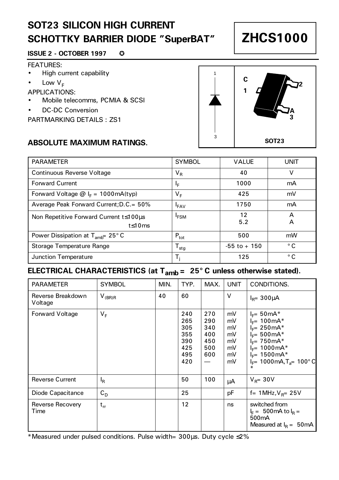# **SOT23 SILICON HIGH CURRENT SCHOTTKY BARRIER DIODE "SuperBAT"**

#### **ISSUE 2 - OCTOBER 1997 ©**

#### FEATURES:

- High current capability
- Low  $V_F$

APPLICATIONS:

- Mobile telecomms, PCMIA & SCSI
- DC-DC Conversion

PARTMARKING DETAILS : ZS1

#### **ABSOLUTE MAXIMUM RATINGS.**

|         | <b>SYMBOL</b>  | <b>VALUE</b> |
|---------|----------------|--------------|
|         | V <sub>R</sub> | 40           |
|         | ΙF             | 1000         |
| mA(typ) | VE             | 425          |
|         |                |              |

1

3



| <b>PARAMETER</b>                                           | <b>SYMBOL</b>          | <b>VALUE</b>    | UNIT          |
|------------------------------------------------------------|------------------------|-----------------|---------------|
| Continuous Reverse Voltage                                 | $V_{R}$                | 40              | v             |
| <b>Forward Current</b>                                     | ΙF                     | 1000            | mA            |
| Forward Voltage $@I_{F} = 1000 \text{mA(typ)}$             | $V_F$                  | 425             | mV            |
| Average Peak Forward Current; D.C. = 50%                   | $I_{FAV}$              | 1750            | mA            |
| Non Repetitive Forward Current t≤100us<br>$t$ $\leq$ 10 ms | <b>I<sub>FSM</sub></b> | 12<br>5.2       | А<br>A        |
| Power Dissipation at $T_{amb}$ 25° C                       | $P_{\text{tot}}$       | 500             | mW            |
| Storage Temperature Range                                  | ${\tt T_{stg}}$        | $-55$ to $+150$ | $^{\circ}$ C. |
| Junction Temperature                                       | т.                     | 125             | ۰c            |

### **ELECTRICAL CHARACTERISTICS (at Tamb = 25° C unless otherwise stated).**

| <b>PARAMETER</b>             | <b>SYMBOL</b>  | MIN. | TYP.                                                 | MAX.                                          | <b>UNIT</b>                                  | CONDITIONS.                                                                                                                                                                                                                   |
|------------------------------|----------------|------|------------------------------------------------------|-----------------------------------------------|----------------------------------------------|-------------------------------------------------------------------------------------------------------------------------------------------------------------------------------------------------------------------------------|
| Reverse Breakdown<br>Voltage | $V_{(BR)R}$    | 40   | 60                                                   |                                               | $\vee$                                       | $I_{B} = 300 \mu A$                                                                                                                                                                                                           |
| Forward Voltage              | V <sub>F</sub> |      | 240<br>265<br>305<br>355<br>390<br>425<br>495<br>420 | 270<br>290<br>340<br>400<br>450<br>500<br>600 | mV<br>mV<br>mV<br>mV<br>mV<br>mV<br>mV<br>mV | $I_F = 50 \text{ mA}^*$<br>$I_F = 100 \text{mA}^*$<br>$I_F = 250 \text{mA*}$<br>$I_{E} = 500 \text{mA}^*$<br>$I_F = 750 \text{mA*}$<br>$I_F = 1000 \text{mA*}$<br>$I_{F}$ = 1500 mA*<br>$I_F$ = 1000mA,T <sub>a</sub> = 100°C |
| <b>Reverse Current</b>       | $I_R$          |      | 50                                                   | 100                                           | μA                                           | $V_{\rm R} = 30V$                                                                                                                                                                                                             |
| Diode Capacitance            | $C_D$          |      | 25                                                   |                                               | pF                                           | f= $1MHz, V_{B} = 25V$                                                                                                                                                                                                        |
| Reverse Recovery<br>Time     | $t_{rr}$       |      | 12                                                   |                                               | ns                                           | switched from<br>$I_E = 500 \text{ mA}$ to $I_B =$<br>500 <sub>m</sub> A<br>Measured at $I_R = 50 \text{mA}$                                                                                                                  |

\*Measured under pulsed conditions. Pulse width= 300µs. Duty cycle ≤2%

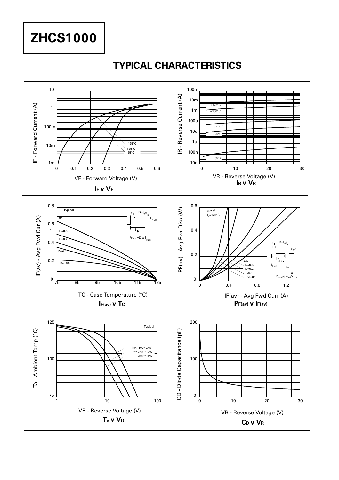**ZHCS1000**

### **TYPICAL CHARACTERISTICS**